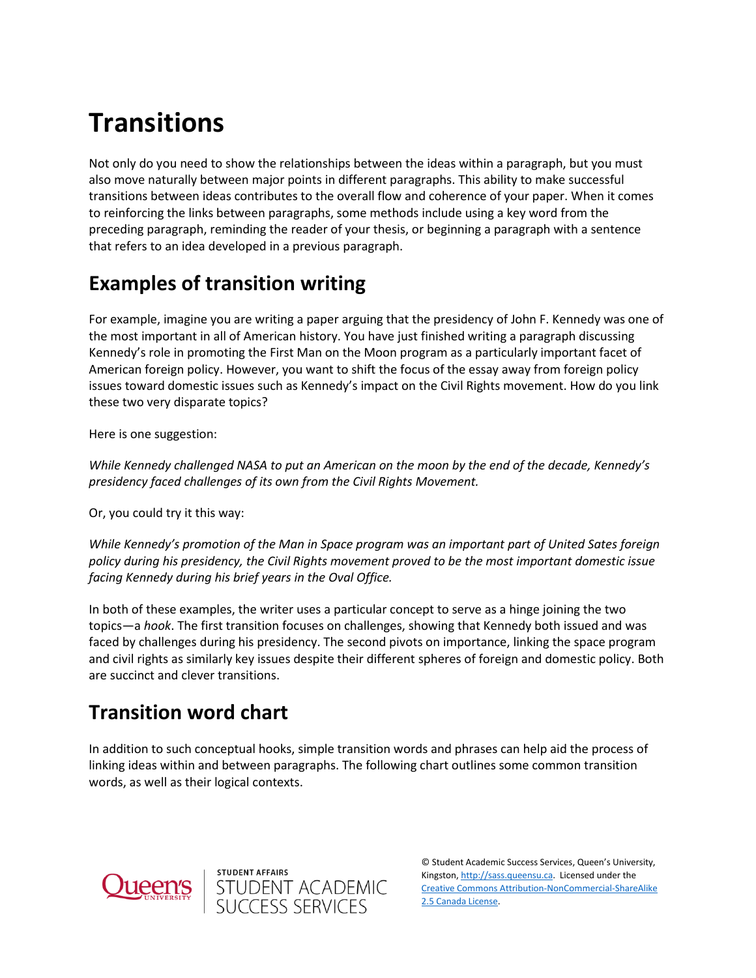## **Transitions**

Not only do you need to show the relationships between the ideas within a paragraph, but you must also move naturally between major points in different paragraphs. This ability to make successful transitions between ideas contributes to the overall flow and coherence of your paper. When it comes to reinforcing the links between paragraphs, some methods include using a key word from the preceding paragraph, reminding the reader of your thesis, or beginning a paragraph with a sentence that refers to an idea developed in a previous paragraph.

## **Examples of transition writing**

For example, imagine you are writing a paper arguing that the presidency of John F. Kennedy was one of the most important in all of American history. You have just finished writing a paragraph discussing Kennedy's role in promoting the First Man on the Moon program as a particularly important facet of American foreign policy. However, you want to shift the focus of the essay away from foreign policy issues toward domestic issues such as Kennedy's impact on the Civil Rights movement. How do you link these two very disparate topics?

Here is one suggestion:

*While Kennedy challenged NASA to put an American on the moon by the end of the decade, Kennedy's presidency faced challenges of its own from the Civil Rights Movement.*

Or, you could try it this way:

*While Kennedy's promotion of the Man in Space program was an important part of United Sates foreign policy during his presidency, the Civil Rights movement proved to be the most important domestic issue facing Kennedy during his brief years in the Oval Office.*

In both of these examples, the writer uses a particular concept to serve as a hinge joining the two topics—a *hook*. The first transition focuses on challenges, showing that Kennedy both issued and was faced by challenges during his presidency. The second pivots on importance, linking the space program and civil rights as similarly key issues despite their different spheres of foreign and domestic policy. Both are succinct and clever transitions.

## **Transition word chart**

In addition to such conceptual hooks, simple transition words and phrases can help aid the process of linking ideas within and between paragraphs. The following chart outlines some common transition words, as well as their logical contexts.





© Student Academic Success Services, Queen's University, Kingston[, http://sass.queensu.ca.](http://sass.queensu.ca/) Licensed under the [Creative Commons Attribution-NonCommercial-ShareAlike](http://creativecommons.org/licenses/by-nc-sa/2.5/ca/)  [2.5 Canada License.](http://creativecommons.org/licenses/by-nc-sa/2.5/ca/)